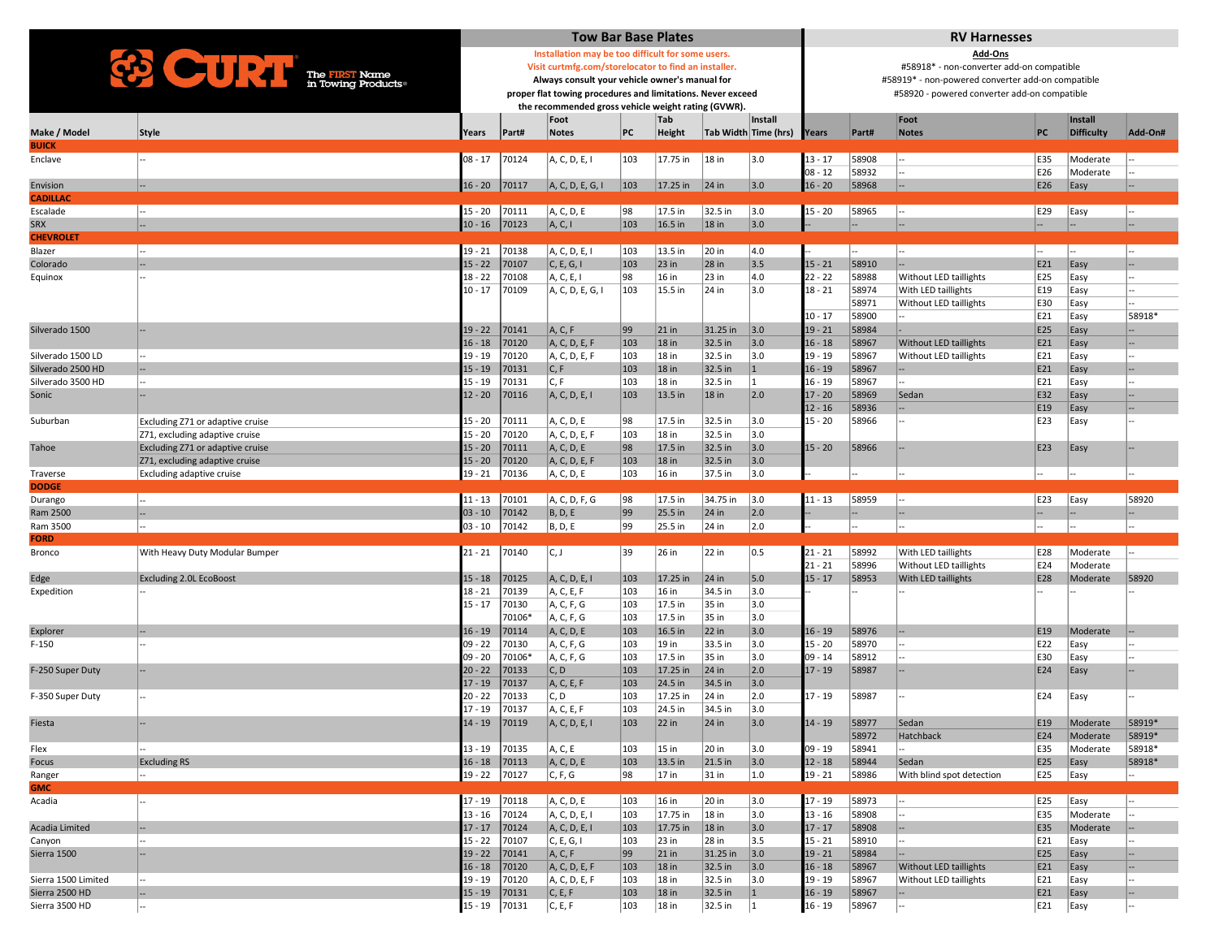|                                   | <b>Tow Bar Base Plates</b>                           |                                                                                                               |                                                   |                             |               |                   |                    |                      | <b>RV Harnesses</b>                       |                                                                                                   |                                               |            |                      |                  |  |  |  |
|-----------------------------------|------------------------------------------------------|---------------------------------------------------------------------------------------------------------------|---------------------------------------------------|-----------------------------|---------------|-------------------|--------------------|----------------------|-------------------------------------------|---------------------------------------------------------------------------------------------------|-----------------------------------------------|------------|----------------------|------------------|--|--|--|
| The FIRST Name in Towing Products |                                                      |                                                                                                               | Installation may be too difficult for some users. |                             |               |                   |                    |                      |                                           |                                                                                                   | Add-Ons                                       |            |                      |                  |  |  |  |
|                                   | Visit curtmfg.com/storelocator to find an installer. |                                                                                                               |                                                   |                             |               |                   |                    |                      | #58918* - non-converter add-on compatible |                                                                                                   |                                               |            |                      |                  |  |  |  |
|                                   |                                                      | Always consult your vehicle owner's manual for<br>proper flat towing procedures and limitations. Never exceed |                                                   |                             |               |                   |                    |                      |                                           | #58919* - non-powered converter add-on compatible<br>#58920 - powered converter add-on compatible |                                               |            |                      |                  |  |  |  |
|                                   |                                                      | the recommended gross vehicle weight rating (GVWR).                                                           |                                                   |                             |               |                   |                    |                      |                                           |                                                                                                   |                                               |            |                      |                  |  |  |  |
|                                   |                                                      |                                                                                                               |                                                   | Foot                        |               | Tab               |                    | Install              |                                           |                                                                                                   | Foot                                          |            | Install              |                  |  |  |  |
| Make / Model                      | Style                                                | Years                                                                                                         | Part#                                             | <b>Notes</b>                | PC            | <b>Height</b>     |                    | Tab Width Time (hrs) | Years                                     | Part#                                                                                             | <b>Notes</b>                                  | PC         | <b>Difficulty</b>    | Add-On#          |  |  |  |
| <b>BUICK</b><br>Enclave           |                                                      | $08 - 17$                                                                                                     | 70124                                             | A, C, D, E, I               | 103           | 17.75 in          | $18$ in            | 3.0                  | $13 - 17$                                 | 58908                                                                                             |                                               | E35        | Moderate             |                  |  |  |  |
|                                   |                                                      |                                                                                                               |                                                   |                             |               |                   |                    |                      | $08 - 12$                                 | 58932                                                                                             |                                               | E26        | Moderate             |                  |  |  |  |
| Envision                          |                                                      | $16 - 20$                                                                                                     | 70117                                             | A, C, D, E, G, I            | $ 103\rangle$ | $17.25$ in        | $ 24 $ in          | 3.0                  | $16 - 20$                                 | 58968                                                                                             |                                               | E26        | Easy                 |                  |  |  |  |
| <b>CADILLAC</b>                   |                                                      |                                                                                                               |                                                   |                             |               |                   |                    |                      |                                           |                                                                                                   |                                               |            |                      |                  |  |  |  |
| Escalade                          | --                                                   | $15 - 20$                                                                                                     | 70111                                             | A, C, D, E                  | 98            | 17.5 in           | 32.5 in            | 3.0                  | $15 - 20$                                 | 58965                                                                                             |                                               | E29        | Easy                 |                  |  |  |  |
| <b>SRX</b><br><b>CHEVROLET</b>    |                                                      | $10 - 16$                                                                                                     | 70123                                             | A, C, I                     | 103           | $16.5$ in         | $18$ in            | 3.0                  |                                           |                                                                                                   |                                               |            |                      | ı.,              |  |  |  |
| Blazer                            |                                                      | $19 - 21$                                                                                                     | 70138                                             | A, C, D, E, I               | 103           | 13.5 in           | 20 in              | 4.0                  |                                           |                                                                                                   |                                               |            |                      |                  |  |  |  |
| Colorado                          |                                                      | $15 - 22$                                                                                                     | 70107                                             | C, E, G, I                  | 103           | 23 in             | $28$ in            | 3.5                  | $15 - 21$                                 | 58910                                                                                             |                                               | E21        | Easy                 |                  |  |  |  |
| Equinox                           |                                                      | $18 - 22$                                                                                                     | 70108                                             | A, C, E, I                  | 98            | 16 in             | 23 in              | 4.0                  | $22 - 22$                                 | 58988                                                                                             | Without LED taillights                        | E25        | Easy                 |                  |  |  |  |
|                                   |                                                      | $10 - 17$                                                                                                     | 70109                                             | A, C, D, E, G, I            | 103           | 15.5 in           | 24 in              | 3.0                  | $18 - 21$                                 | 58974                                                                                             | With LED taillights                           | E19        | Easy                 |                  |  |  |  |
|                                   |                                                      |                                                                                                               |                                                   |                             |               |                   |                    |                      |                                           | 58971<br>58900                                                                                    | Without LED taillights                        | E30<br>E21 | Easy                 | 58918*           |  |  |  |
| Silverado 1500                    |                                                      | $19 - 22$                                                                                                     | 70141                                             | A, C, F                     | 99            | $21$ in           | 31.25 in           | 3.0                  | $10 - 17$<br>19 - 21                      | 58984                                                                                             |                                               | E25        | Easy<br>Easy         |                  |  |  |  |
|                                   |                                                      | $16 - 18$                                                                                                     | 70120                                             | A, C, D, E, F               | 103           | 18 in             | 32.5 in            | 3.0                  | $16 - 18$                                 | 58967                                                                                             | <b>Without LED taillights</b>                 | E21        | Easy                 |                  |  |  |  |
| Silverado 1500 LD                 |                                                      | $19 - 19$                                                                                                     | 70120                                             | A, C, D, E, F               | 103           | 18 in             | 32.5 in            | 3.0                  | 19 - 19                                   | 58967                                                                                             | Without LED taillights                        | E21        | Easy                 |                  |  |  |  |
| Silverado 2500 HD                 |                                                      | $15 - 19$                                                                                                     | 70131                                             | C, F                        | 103           | $18$ in           | 32.5 in            | $\mathbf{1}$         | 16 - 19                                   | 58967                                                                                             |                                               | E21        | Easy                 |                  |  |  |  |
| Silverado 3500 HD                 |                                                      | $15 - 19$                                                                                                     | 70131                                             | C, F                        | 103           | 18 in             | 32.5 in            | 1                    | $16 - 19$                                 | 58967                                                                                             |                                               | E21        | Easy                 |                  |  |  |  |
| Sonic                             |                                                      | $12 - 20$                                                                                                     | 70116                                             | A, C, D, E, I               | 103           | 13.5 in           | <b>18 in</b>       | 2.0                  | $17 - 20$<br>$12 - 16$                    | 58969<br>58936                                                                                    | Sedan                                         | E32<br>E19 | Easy                 |                  |  |  |  |
| Suburban                          | Excluding Z71 or adaptive cruise                     | 15 - 20                                                                                                       | 70111                                             | A, C, D, E                  | 98            | 17.5 in           | 32.5 in            | 3.0                  | $15 - 20$                                 | 58966                                                                                             |                                               | E23        | Easy<br>Easy         |                  |  |  |  |
|                                   | Z71, excluding adaptive cruise                       | $15 - 20$                                                                                                     | 70120                                             | A, C, D, E, F               | 103           | 18 in             | 32.5 in            | 3.0                  |                                           |                                                                                                   |                                               |            |                      |                  |  |  |  |
| Tahoe                             | Excluding Z71 or adaptive cruise                     | $15 - 20$                                                                                                     | 70111                                             | A, C, D, E                  | 98            | 17.5 in           | 32.5 in            | 3.0                  | $15 - 20$                                 | 58966                                                                                             |                                               | E23        | Easy                 |                  |  |  |  |
|                                   | Z71, excluding adaptive cruise                       | $15 - 20$                                                                                                     | 70120                                             | A, C, D, E, F               | 103           | 18 in             | 32.5 in            | 3.0                  |                                           |                                                                                                   |                                               |            |                      |                  |  |  |  |
| Traverse                          | Excluding adaptive cruise                            | $19 - 21$                                                                                                     | 70136                                             | A, C, D, E                  | 103           | 16 in             | 37.5 in            | 3.0                  |                                           |                                                                                                   |                                               |            |                      |                  |  |  |  |
| <b>DODGE</b><br>Durango           | --                                                   | $11 - 13$                                                                                                     | 70101                                             | A, C, D, F, G               | 98            | 17.5 in           | 34.75 in           | 3.0                  | $11 - 13$                                 | 58959                                                                                             |                                               | E23        | Easy                 | 58920            |  |  |  |
| Ram 2500                          |                                                      | $03 - 10$                                                                                                     | 70142                                             | B, D, E                     | 99            | 25.5 in           | 24 in              | 2.0                  |                                           |                                                                                                   |                                               |            |                      |                  |  |  |  |
| Ram 3500                          |                                                      | $03 - 10$                                                                                                     | 70142                                             | B, D, E                     | 99            | 25.5 in           | 24 in              | 2.0                  |                                           |                                                                                                   |                                               |            |                      |                  |  |  |  |
| <b>FORD</b>                       |                                                      |                                                                                                               |                                                   |                             |               |                   |                    |                      |                                           |                                                                                                   |                                               |            |                      |                  |  |  |  |
| <b>Bronco</b>                     | With Heavy Duty Modular Bumper                       | $21 - 21$                                                                                                     | 70140                                             | C, J                        | 39            | 26 in             | 22 in              | 0.5                  | $21 - 21$                                 | 58992                                                                                             | With LED taillights                           | E28        | Moderate             |                  |  |  |  |
| Edge                              | <b>Excluding 2.0L EcoBoost</b>                       | $15 - 18$                                                                                                     | 70125                                             | A, C, D, E, I               | 103           | 17.25 in          | $24$ in            | 5.0                  | $21 - 21$<br>15 - 17                      | 58996<br>58953                                                                                    | Without LED taillights<br>With LED taillights | E24<br>E28 | Moderate<br>Moderate | 58920            |  |  |  |
| Expedition                        |                                                      | $18 - 21$                                                                                                     | 70139                                             | A, C, E, F                  | 103           | 16 in             | 34.5 in            | 3.0                  |                                           |                                                                                                   |                                               |            |                      |                  |  |  |  |
|                                   |                                                      | $15 - 17$                                                                                                     | 70130                                             | A, C, F, G                  | 103           | 17.5 in           | 35 in              | 3.0                  |                                           |                                                                                                   |                                               |            |                      |                  |  |  |  |
|                                   |                                                      |                                                                                                               | 70106*                                            | A, C, F, G                  | 103           | 17.5 in           | 35 in              | 3.0                  |                                           |                                                                                                   |                                               |            |                      |                  |  |  |  |
| Explorer                          |                                                      | $16 - 19$                                                                                                     | 70114                                             | A, C, D, E                  | 103           | 16.5 in           | $22$ in            | 3.0                  | $16 - 19$                                 | 58976                                                                                             |                                               | E19        | Moderate             |                  |  |  |  |
| F-150                             |                                                      | $09 - 22$<br>$09 - 20$                                                                                        | 70130<br>70106*                                   | A, C, F, G<br>A, C, F, G    | 103<br>103    | 19 in<br>17.5 in  | 33.5 in<br>35 in   | 3.0<br>3.0           | 15 - 20<br>$09 - 14$                      | 58970<br>58912                                                                                    |                                               | E22<br>E30 | Easy<br>Easy         |                  |  |  |  |
| F-250 Super Duty                  |                                                      | $20 - 22$                                                                                                     | 70133                                             | C, D                        | 103           | 17.25 in          | $24$ in            | 2.0                  | $17 - 19$                                 | 58987                                                                                             |                                               | E24        | Easy                 |                  |  |  |  |
|                                   |                                                      | $17 - 19$                                                                                                     | 70137                                             | A, C, E, F                  | 103           | 24.5 in           | 34.5 in            | 3.0                  |                                           |                                                                                                   |                                               |            |                      |                  |  |  |  |
| F-350 Super Duty                  |                                                      | $20 - 22$                                                                                                     | 70133                                             | C, D                        | 103           | 17.25 in          | 24 in              | 2.0                  | $17 - 19$                                 | 58987                                                                                             |                                               | E24        | Easy                 |                  |  |  |  |
|                                   |                                                      | $17 - 19$                                                                                                     | 70137                                             | A, C, E, F                  | 103           | 24.5 in           | 34.5 in            | 3.0                  |                                           |                                                                                                   |                                               |            |                      |                  |  |  |  |
| Fiesta                            |                                                      | $14 - 19$                                                                                                     | 70119                                             | A, C, D, E, I               | $ 103\rangle$ | $ 22$ in          | $24$ in            | 3.0                  | $14 - 19$                                 | 58977                                                                                             | Sedan                                         | E19        | Moderate             | 58919*           |  |  |  |
| Flex                              |                                                      | $13 - 19$                                                                                                     | 70135                                             | A, C, E                     | 103           | 15 in             | 20 in              | 3.0                  | 09 - 19                                   | 58972<br>58941                                                                                    | Hatchback                                     | E24<br>E35 | Moderate<br>Moderate | 58919*<br>58918* |  |  |  |
| Focus                             | <b>Excluding RS</b>                                  | $16 - 18$                                                                                                     | 70113                                             | A, C, D, E                  | 103           | 13.5 in           | 21.5 in            | 3.0                  | $12 - 18$                                 | 58944                                                                                             | Sedan                                         | E25        | Easy                 | 58918*           |  |  |  |
| Ranger                            |                                                      | $19 - 22$                                                                                                     | 70127                                             | C, F, G                     | 98            | 17 in             | $31$ in            | 1.0                  | $19 - 21$                                 | 58986                                                                                             | With blind spot detection                     | E25        | Easy                 |                  |  |  |  |
| <b>GMC</b>                        |                                                      |                                                                                                               |                                                   |                             |               |                   |                    |                      |                                           |                                                                                                   |                                               |            |                      |                  |  |  |  |
| Acadia                            |                                                      | $17 - 19$                                                                                                     | 70118                                             | A, C, D, E                  | 103           | 16 in             | 20 in              | 3.0                  | $17 - 19$                                 | 58973                                                                                             |                                               | E25        | Easy                 |                  |  |  |  |
| Acadia Limited                    |                                                      | $13 - 16$                                                                                                     | 70124                                             | A, C, D, E, I               | 103           | 17.75 in          | $ 18 $ in          | 3.0                  | $13 - 16$                                 | 58908                                                                                             |                                               | E35        | Moderate<br>Moderate |                  |  |  |  |
| Canyon                            |                                                      | $17 - 17$<br>$15 - 22$                                                                                        | 70124<br>70107                                    | A, C, D, E, I<br>C, E, G, I | 103<br>103    | 17.75 in<br>23 in | $ 18 $ in<br>28 in | 3.0<br>3.5           | 17 - 17<br>$15 - 21$                      | 58908<br>58910                                                                                    |                                               | E35<br>E21 | Easy                 |                  |  |  |  |
| Sierra 1500                       |                                                      | $19 - 22$                                                                                                     | 70141                                             | A, C, F                     | 99            | $ 21$ in          | $31.25$ in         | 3.0                  | 19 - 21                                   | 58984                                                                                             |                                               | E25        | Easy                 |                  |  |  |  |
|                                   |                                                      | $16 - 18$                                                                                                     | 70120                                             | A, C, D, E, F               | 103           | $18$ in           | 32.5 in            | 3.0                  | 16 - 18                                   | 58967                                                                                             | <b>Without LED taillights</b>                 | E21        | Easy                 |                  |  |  |  |
| Sierra 1500 Limited               |                                                      | $19 - 19$                                                                                                     | 70120                                             | A, C, D, E, F               | 103           | 18 in             | 32.5 in            | 3.0                  | $19 - 19$                                 | 58967                                                                                             | Without LED taillights                        | E21        | Easy                 |                  |  |  |  |
| Sierra 2500 HD                    |                                                      | $15 - 19$                                                                                                     | 70131                                             | C, E, F                     | 103           | $18$ in           | 32.5 in            | $\vert$ 1            | $16 - 19$                                 | 58967                                                                                             |                                               | E21        | Easy                 | --               |  |  |  |
| Sierra 3500 HD                    |                                                      | $15 - 19$                                                                                                     | 70131                                             | C, E, F                     | 103           | $ 18 $ in         | 32.5 in            | 1                    | $16 - 19$                                 | 58967                                                                                             |                                               | E21        | Easy                 |                  |  |  |  |